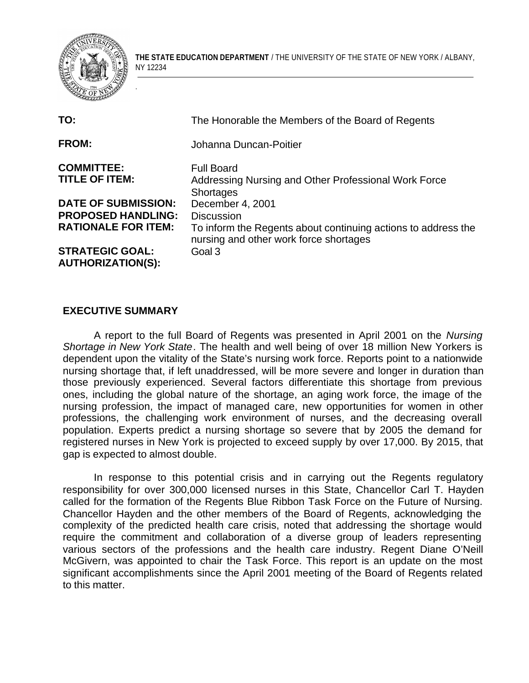

.

**THE STATE EDUCATION DEPARTMENT** / THE UNIVERSITY OF THE STATE OF NEW YORK / ALBANY, NY 12234

| TO:                                                | The Honorable the Members of the Board of Regents                                                       |
|----------------------------------------------------|---------------------------------------------------------------------------------------------------------|
| <b>FROM:</b>                                       | Johanna Duncan-Poitier                                                                                  |
| <b>COMMITTEE:</b><br><b>TITLE OF ITEM:</b>         | <b>Full Board</b><br>Addressing Nursing and Other Professional Work Force<br><b>Shortages</b>           |
| <b>DATE OF SUBMISSION:</b>                         | December 4, 2001                                                                                        |
| <b>PROPOSED HANDLING:</b>                          | <b>Discussion</b>                                                                                       |
| <b>RATIONALE FOR ITEM:</b>                         | To inform the Regents about continuing actions to address the<br>nursing and other work force shortages |
| <b>STRATEGIC GOAL:</b><br><b>AUTHORIZATION(S):</b> | Goal 3                                                                                                  |

#### **EXECUTIVE SUMMARY**

A report to the full Board of Regents was presented in April 2001 on the *Nursing Shortage in New York State*. The health and well being of over 18 million New Yorkers is dependent upon the vitality of the State's nursing work force. Reports point to a nationwide nursing shortage that, if left unaddressed, will be more severe and longer in duration than those previously experienced. Several factors differentiate this shortage from previous ones, including the global nature of the shortage, an aging work force, the image of the nursing profession, the impact of managed care, new opportunities for women in other professions, the challenging work environment of nurses, and the decreasing overall population. Experts predict a nursing shortage so severe that by 2005 the demand for registered nurses in New York is projected to exceed supply by over 17,000. By 2015, that gap is expected to almost double.

In response to this potential crisis and in carrying out the Regents regulatory responsibility for over 300,000 licensed nurses in this State, Chancellor Carl T. Hayden called for the formation of the Regents Blue Ribbon Task Force on the Future of Nursing. Chancellor Hayden and the other members of the Board of Regents, acknowledging the complexity of the predicted health care crisis, noted that addressing the shortage would require the commitment and collaboration of a diverse group of leaders representing various sectors of the professions and the health care industry. Regent Diane O'Neill McGivern, was appointed to chair the Task Force. This report is an update on the most significant accomplishments since the April 2001 meeting of the Board of Regents related to this matter.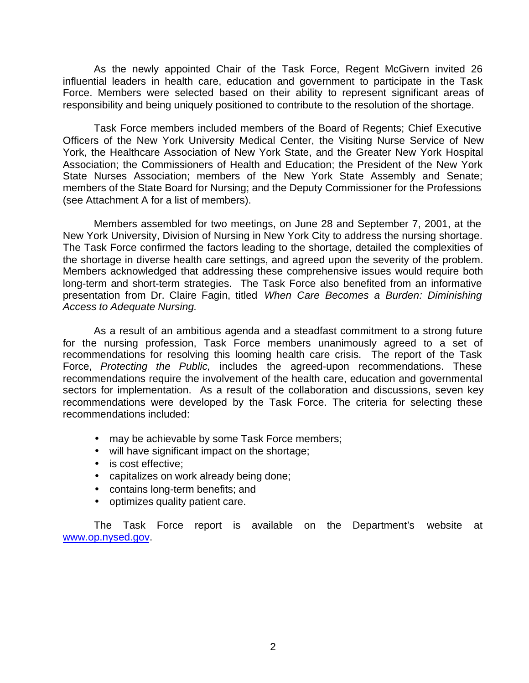As the newly appointed Chair of the Task Force, Regent McGivern invited 26 influential leaders in health care, education and government to participate in the Task Force. Members were selected based on their ability to represent significant areas of responsibility and being uniquely positioned to contribute to the resolution of the shortage.

Task Force members included members of the Board of Regents; Chief Executive Officers of the New York University Medical Center, the Visiting Nurse Service of New York, the Healthcare Association of New York State, and the Greater New York Hospital Association; the Commissioners of Health and Education; the President of the New York State Nurses Association; members of the New York State Assembly and Senate; members of the State Board for Nursing; and the Deputy Commissioner for the Professions (see Attachment A for a list of members).

Members assembled for two meetings, on June 28 and September 7, 2001, at the New York University, Division of Nursing in New York City to address the nursing shortage. The Task Force confirmed the factors leading to the shortage, detailed the complexities of the shortage in diverse health care settings, and agreed upon the severity of the problem. Members acknowledged that addressing these comprehensive issues would require both long-term and short-term strategies. The Task Force also benefited from an informative presentation from Dr. Claire Fagin, titled *When Care Becomes a Burden: Diminishing Access to Adequate Nursing.* 

As a result of an ambitious agenda and a steadfast commitment to a strong future for the nursing profession, Task Force members unanimously agreed to a set of recommendations for resolving this looming health care crisis. The report of the Task Force, *Protecting the Public,* includes the agreed-upon recommendations. These recommendations require the involvement of the health care, education and governmental sectors for implementation. As a result of the collaboration and discussions, seven key recommendations were developed by the Task Force. The criteria for selecting these recommendations included:

- may be achievable by some Task Force members;
- will have significant impact on the shortage;
- is cost effective;
- capitalizes on work already being done;
- contains long-term benefits; and
- optimizes quality patient care.

The Task Force report is available on the Department's website at www.op.nysed.gov.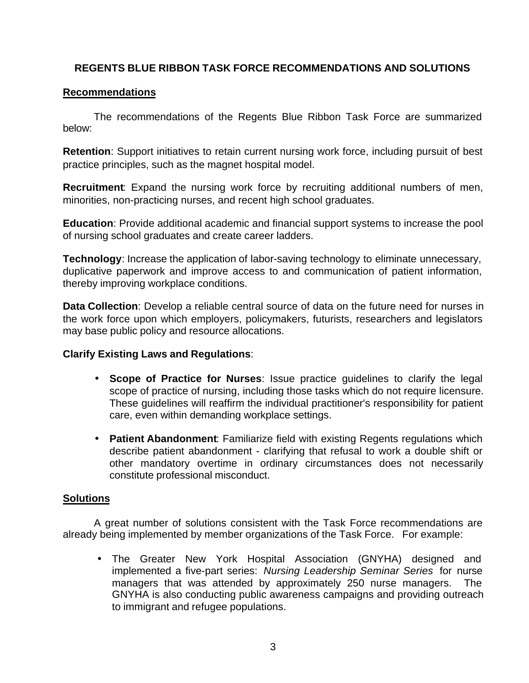## **REGENTS BLUE RIBBON TASK FORCE RECOMMENDATIONS AND SOLUTIONS**

### **Recommendations**

The recommendations of the Regents Blue Ribbon Task Force are summarized below:

**Retention**: Support initiatives to retain current nursing work force, including pursuit of best practice principles, such as the magnet hospital model.

**Recruitment**: Expand the nursing work force by recruiting additional numbers of men, minorities, non-practicing nurses, and recent high school graduates.

**Education**: Provide additional academic and financial support systems to increase the pool of nursing school graduates and create career ladders.

**Technology**: Increase the application of labor-saving technology to eliminate unnecessary, duplicative paperwork and improve access to and communication of patient information, thereby improving workplace conditions.

**Data Collection**: Develop a reliable central source of data on the future need for nurses in the work force upon which employers, policymakers, futurists, researchers and legislators may base public policy and resource allocations.

#### **Clarify Existing Laws and Regulations**:

- • **Scope of Practice for Nurses**: Issue practice guidelines to clarify the legal scope of practice of nursing, including those tasks which do not require licensure. These guidelines will reaffirm the individual practitioner's responsibility for patient care, even within demanding workplace settings.
- • **Patient Abandonment**: Familiarize field with existing Regents regulations which describe patient abandonment - clarifying that refusal to work a double shift or other mandatory overtime in ordinary circumstances does not necessarily constitute professional misconduct.

## **Solutions**

A great number of solutions consistent with the Task Force recommendations are already being implemented by member organizations of the Task Force. For example:

• The Greater New York Hospital Association (GNYHA) designed and implemented a five-part series: *Nursing Leadership Seminar Series* for nurse managers that was attended by approximately 250 nurse managers. The GNYHA is also conducting public awareness campaigns and providing outreach to immigrant and refugee populations.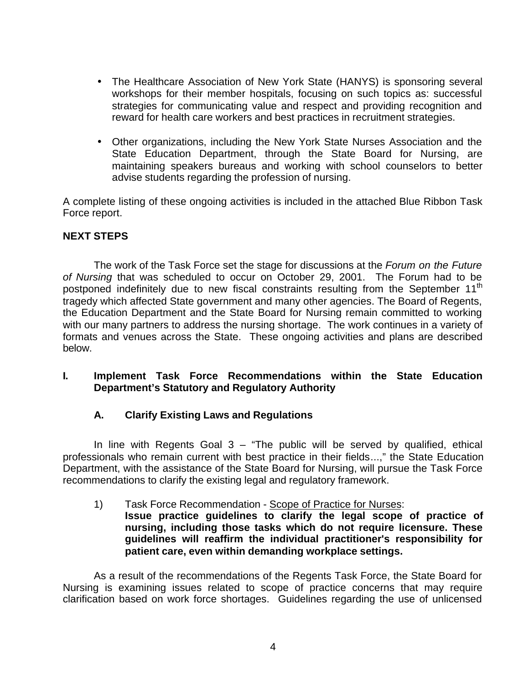- The Healthcare Association of New York State (HANYS) is sponsoring several workshops for their member hospitals, focusing on such topics as: successful strategies for communicating value and respect and providing recognition and reward for health care workers and best practices in recruitment strategies.
- Other organizations, including the New York State Nurses Association and the State Education Department, through the State Board for Nursing, are maintaining speakers bureaus and working with school counselors to better advise students regarding the profession of nursing.

A complete listing of these ongoing activities is included in the attached Blue Ribbon Task Force report.

## **NEXT STEPS**

The work of the Task Force set the stage for discussions at the *Forum on the Future of Nursing* that was scheduled to occur on October 29, 2001. The Forum had to be postponed indefinitely due to new fiscal constraints resulting from the September 11<sup>th</sup> tragedy which affected State government and many other agencies. The Board of Regents, the Education Department and the State Board for Nursing remain committed to working with our many partners to address the nursing shortage. The work continues in a variety of formats and venues across the State. These ongoing activities and plans are described below.

### **I. Implement Task Force Recommendations within the State Education Department's Statutory and Regulatory Authority**

## **A. Clarify Existing Laws and Regulations**

In line with Regents Goal  $3 -$  "The public will be served by qualified, ethical professionals who remain current with best practice in their fields...," the State Education Department, with the assistance of the State Board for Nursing, will pursue the Task Force recommendations to clarify the existing legal and regulatory framework.

#### 1) Task Force Recommendation - Scope of Practice for Nurses: **Issue practice guidelines to clarify the legal scope of practice of nursing, including those tasks which do not require licensure. These guidelines will reaffirm the individual practitioner's responsibility for patient care, even within demanding workplace settings.**

As a result of the recommendations of the Regents Task Force, the State Board for Nursing is examining issues related to scope of practice concerns that may require clarification based on work force shortages. Guidelines regarding the use of unlicensed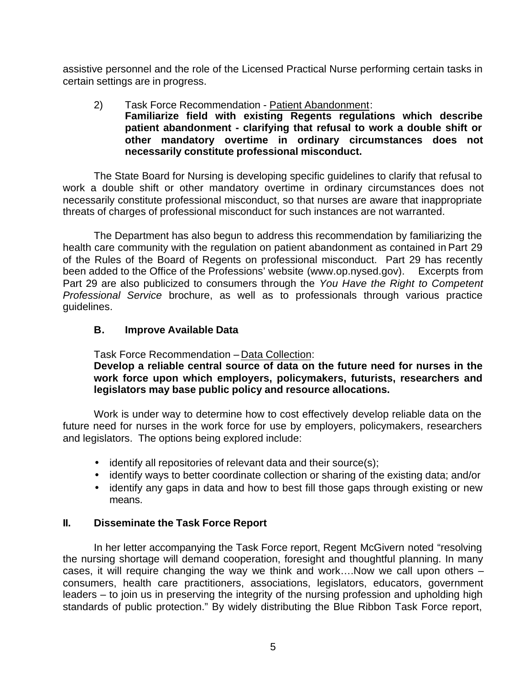assistive personnel and the role of the Licensed Practical Nurse performing certain tasks in certain settings are in progress.

#### 2) Task Force Recommendation - Patient Abandonment: **Familiarize field with existing Regents regulations which describe patient abandonment - clarifying that refusal to work a double shift or other mandatory overtime in ordinary circumstances does not necessarily constitute professional misconduct.**

The State Board for Nursing is developing specific guidelines to clarify that refusal to work a double shift or other mandatory overtime in ordinary circumstances does not necessarily constitute professional misconduct, so that nurses are aware that inappropriate threats of charges of professional misconduct for such instances are not warranted.

 been added to the Office of the Professions' website (www.op.nysed.gov). Excerpts from The Department has also begun to address this recommendation by familiarizing the health care community with the regulation on patient abandonment as contained in Part 29 of the Rules of the Board of Regents on professional misconduct. Part 29 has recently Part 29 are also publicized to consumers through the *You Have the Right to Competent Professional Service* brochure, as well as to professionals through various practice guidelines.

## **B. Improve Available Data**

Task Force Recommendation – Data Collection:

**Develop a reliable central source of data on the future need for nurses in the work force upon which employers, policymakers, futurists, researchers and legislators may base public policy and resource allocations.** 

Work is under way to determine how to cost effectively develop reliable data on the future need for nurses in the work force for use by employers, policymakers, researchers and legislators. The options being explored include:

- $\bullet$  identify all repositories of relevant data and their source(s);
- identify ways to better coordinate collection or sharing of the existing data; and/or
- identify any gaps in data and how to best fill those gaps through existing or new means.

## **II. Disseminate the Task Force Report**

In her letter accompanying the Task Force report, Regent McGivern noted "resolving the nursing shortage will demand cooperation, foresight and thoughtful planning. In many cases, it will require changing the way we think and work….Now we call upon others – consumers, health care practitioners, associations, legislators, educators, government leaders – to join us in preserving the integrity of the nursing profession and upholding high standards of public protection." By widely distributing the Blue Ribbon Task Force report,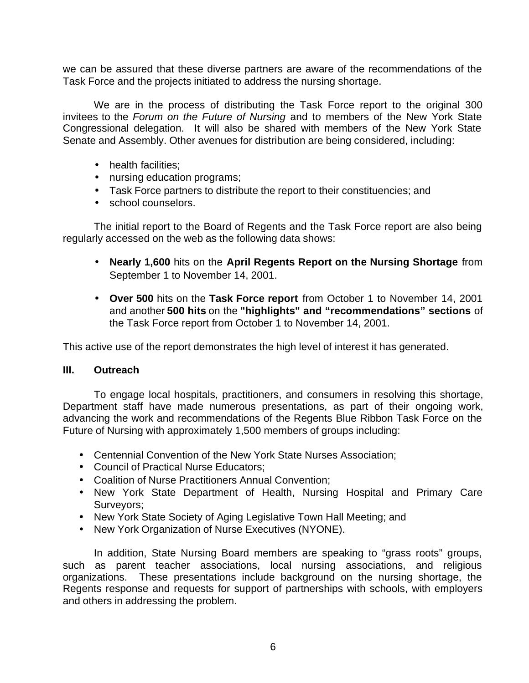we can be assured that these diverse partners are aware of the recommendations of the Task Force and the projects initiated to address the nursing shortage.

We are in the process of distributing the Task Force report to the original 300 invitees to the *Forum on the Future of Nursing* and to members of the New York State Congressional delegation. It will also be shared with members of the New York State Senate and Assembly. Other avenues for distribution are being considered, including:

- health facilities:
- nursing education programs;
- Task Force partners to distribute the report to their constituencies; and
- school counselors.

The initial report to the Board of Regents and the Task Force report are also being regularly accessed on the web as the following data shows:

- • **Nearly 1,600** hits on the **April Regents Report on the Nursing Shortage** from September 1 to November 14, 2001.
- • **Over 500** hits on the **Task Force report** from October 1 to November 14, 2001 and another **500 hits** on the **"highlights" and "recommendations" sections** of the Task Force report from October 1 to November 14, 2001.

This active use of the report demonstrates the high level of interest it has generated.

#### **III. Outreach**

To engage local hospitals, practitioners, and consumers in resolving this shortage, Department staff have made numerous presentations, as part of their ongoing work, advancing the work and recommendations of the Regents Blue Ribbon Task Force on the Future of Nursing with approximately 1,500 members of groups including:

- Centennial Convention of the New York State Nurses Association;
- Council of Practical Nurse Educators:
- Coalition of Nurse Practitioners Annual Convention:
- New York State Department of Health, Nursing Hospital and Primary Care Surveyors;
- New York State Society of Aging Legislative Town Hall Meeting; and
- New York Organization of Nurse Executives (NYONE).

In addition, State Nursing Board members are speaking to "grass roots" groups, such as parent teacher associations, local nursing associations, and religious organizations. These presentations include background on the nursing shortage, the Regents response and requests for support of partnerships with schools, with employers and others in addressing the problem.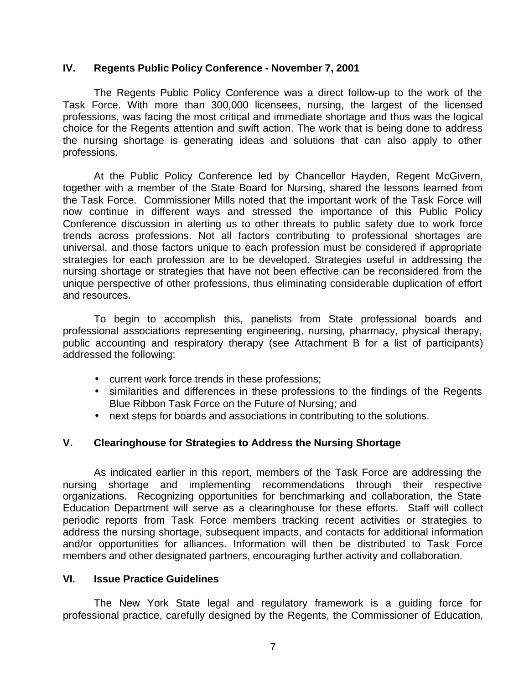#### **IV. Regents Public Policy Conference - November 7, 2001**

The Regents Public Policy Conference was a direct follow-up to the work of the Task Force. With more than 300,000 licensees, nursing, the largest of the licensed professions, was facing the most critical and immediate shortage and thus was the logical choice for the Regents attention and swift action. The work that is being done to address the nursing shortage is generating ideas and solutions that can also apply to other professions.

At the Public Policy Conference led by Chancellor Hayden, Regent McGivern, together with a member of the State Board for Nursing, shared the lessons learned from the Task Force. Commissioner Mills noted that the important work of the Task Force will now continue in different ways and stressed the importance of this Public Policy Conference discussion in alerting us to other threats to public safety due to work force trends across professions. Not all factors contributing to professional shortages are universal, and those factors unique to each profession must be considered if appropriate strategies for each profession are to be developed. Strategies useful in addressing the nursing shortage or strategies that have not been effective can be reconsidered from the unique perspective of other professions, thus eliminating considerable duplication of effort and resources.

To begin to accomplish this, panelists from State professional boards and professional associations representing engineering, nursing, pharmacy, physical therapy, public accounting and respiratory therapy (see Attachment B for a list of participants) addressed the following:

- current work force trends in these professions;
- similarities and differences in these professions to the findings of the Regents Blue Ribbon Task Force on the Future of Nursing; and
- next steps for boards and associations in contributing to the solutions.

#### **V. Clearinghouse for Strategies to Address the Nursing Shortage**

As indicated earlier in this report, members of the Task Force are addressing the nursing shortage and implementing recommendations through their respective organizations. Recognizing opportunities for benchmarking and collaboration, the State Education Department will serve as a clearinghouse for these efforts. Staff will collect periodic reports from Task Force members tracking recent activities or strategies to address the nursing shortage, subsequent impacts, and contacts for additional information and/or opportunities for alliances. Information will then be distributed to Task Force members and other designated partners, encouraging further activity and collaboration.

#### **VI. Issue Practice Guidelines**

The New York State legal and regulatory framework is a guiding force for professional practice, carefully designed by the Regents, the Commissioner of Education,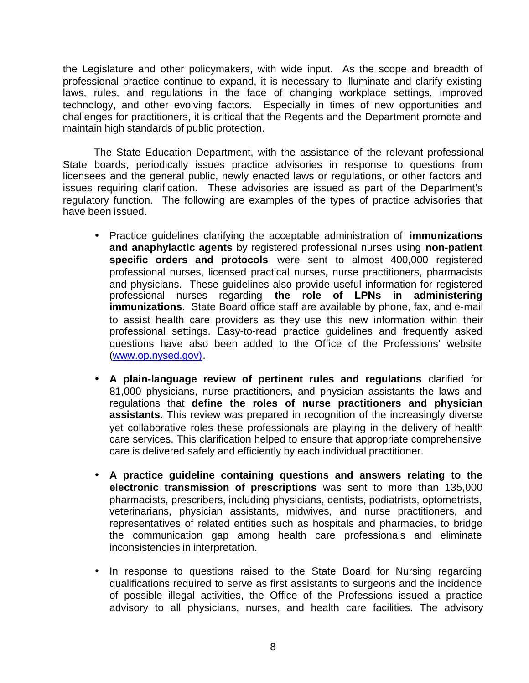the Legislature and other policymakers, with wide input. As the scope and breadth of professional practice continue to expand, it is necessary to illuminate and clarify existing laws, rules, and regulations in the face of changing workplace settings, improved technology, and other evolving factors. Especially in times of new opportunities and challenges for practitioners, it is critical that the Regents and the Department promote and maintain high standards of public protection.

The State Education Department, with the assistance of the relevant professional State boards, periodically issues practice advisories in response to questions from licensees and the general public, newly enacted laws or regulations, or other factors and issues requiring clarification. These advisories are issued as part of the Department's regulatory function. The following are examples of the types of practice advisories that have been issued.

- • Practice guidelines clarifying the acceptable administration of **immunizations and anaphylactic agents** by registered professional nurses using **non-patient specific orders and protocols** were sent to almost 400,000 registered professional nurses, licensed practical nurses, nurse practitioners, pharmacists and physicians. These guidelines also provide useful information for registered professional nurses regarding **the role of LPNs in administering immunizations**. State Board office staff are available by phone, fax, and e-mail to assist health care providers as they use this new information within their professional settings. Easy-to-read practice guidelines and frequently asked questions have also been added to the Office of the Professions' website (www.op.nysed.gov).
- • **A plain-language review of pertinent rules and regulations** clarified for 81,000 physicians, nurse practitioners, and physician assistants the laws and regulations that **define the roles of nurse practitioners and physician assistants**. This review was prepared in recognition of the increasingly diverse yet collaborative roles these professionals are playing in the delivery of health care services. This clarification helped to ensure that appropriate comprehensive care is delivered safely and efficiently by each individual practitioner.
- • **A practice guideline containing questions and answers relating to the electronic transmission of prescriptions** was sent to more than 135,000 pharmacists, prescribers, including physicians, dentists, podiatrists, optometrists, veterinarians, physician assistants, midwives, and nurse practitioners, and representatives of related entities such as hospitals and pharmacies, to bridge the communication gap among health care professionals and eliminate inconsistencies in interpretation.
- In response to questions raised to the State Board for Nursing regarding qualifications required to serve as first assistants to surgeons and the incidence of possible illegal activities, the Office of the Professions issued a practice advisory to all physicians, nurses, and health care facilities. The advisory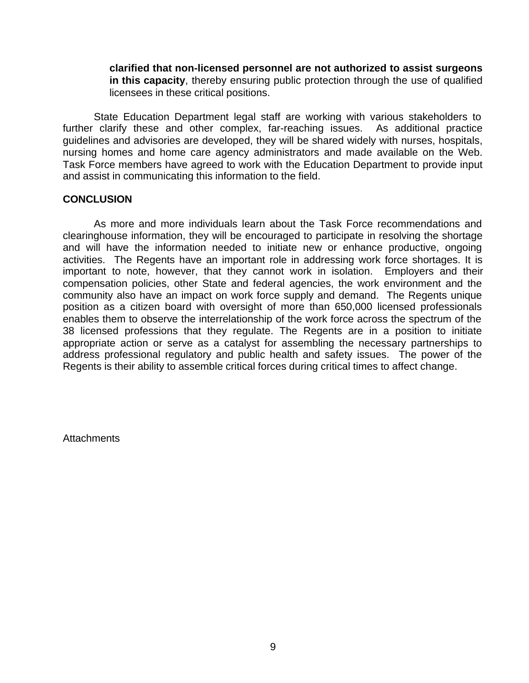**clarified that non-licensed personnel are not authorized to assist surgeons in this capacity**, thereby ensuring public protection through the use of qualified licensees in these critical positions.

State Education Department legal staff are working with various stakeholders to further clarify these and other complex, far-reaching issues. As additional practice guidelines and advisories are developed, they will be shared widely with nurses, hospitals, nursing homes and home care agency administrators and made available on the Web. Task Force members have agreed to work with the Education Department to provide input and assist in communicating this information to the field.

#### **CONCLUSION**

As more and more individuals learn about the Task Force recommendations and clearinghouse information, they will be encouraged to participate in resolving the shortage and will have the information needed to initiate new or enhance productive, ongoing activities. The Regents have an important role in addressing work force shortages. It is important to note, however, that they cannot work in isolation. Employers and their compensation policies, other State and federal agencies, the work environment and the community also have an impact on work force supply and demand. The Regents unique position as a citizen board with oversight of more than 650,000 licensed professionals enables them to observe the interrelationship of the work force across the spectrum of the 38 licensed professions that they regulate. The Regents are in a position to initiate appropriate action or serve as a catalyst for assembling the necessary partnerships to address professional regulatory and public health and safety issues. The power of the Regents is their ability to assemble critical forces during critical times to affect change.

Attachments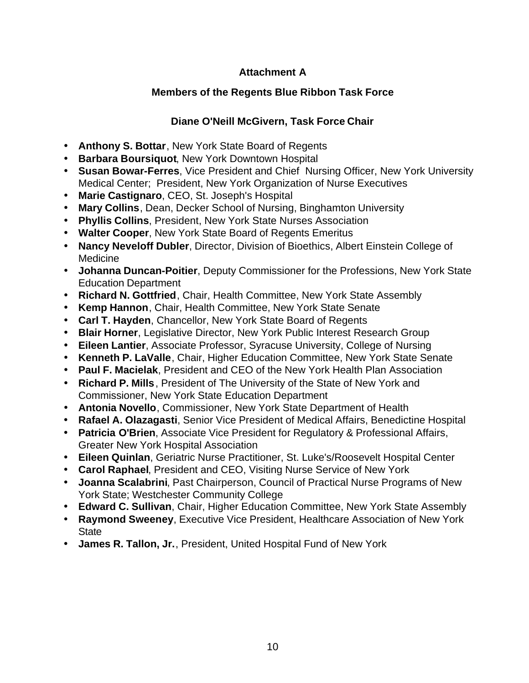# **Attachment A**

# **Members of the Regents Blue Ribbon Task Force**

# **Diane O'Neill McGivern, Task Force Chair**

- • **Anthony S. Bottar**, New York State Board of Regents
- • **Barbara Boursiquot**, New York Downtown Hospital
- • **Susan Bowar-Ferres**, Vice President and Chief Nursing Officer, New York University Medical Center; President, New York Organization of Nurse Executives
- • **Marie Castignaro**, CEO, St. Joseph's Hospital
- • **Mary Collins**, Dean, Decker School of Nursing, Binghamton University
- • **Phyllis Collins**, President, New York State Nurses Association
- • **Walter Cooper**, New York State Board of Regents Emeritus
- **Nancy Neveloff Dubler**, Director, Division of Bioethics, Albert Einstein College of Medicine
- • **Johanna Duncan-Poitier**, Deputy Commissioner for the Professions, New York State Education Department
- • **Richard N. Gottfried**, Chair, Health Committee, New York State Assembly
- • **Kemp Hannon**, Chair, Health Committee, New York State Senate
- • **Carl T. Hayden**, Chancellor, New York State Board of Regents
- **Blair Horner, Legislative Director, New York Public Interest Research Group**
- • **Eileen Lantier**, Associate Professor, Syracuse University, College of Nursing
- • **Kenneth P. LaValle**, Chair, Higher Education Committee, New York State Senate
- • **Paul F. Macielak**, President and CEO of the New York Health Plan Association
- • **Richard P. Mills** , President of The University of the State of New York and Commissioner, New York State Education Department
- • **Antonia Novello**, Commissioner, New York State Department of Health
- • **Rafael A. Olazagasti**, Senior Vice President of Medical Affairs, Benedictine Hospital
- **Patricia O'Brien**, Associate Vice President for Regulatory & Professional Affairs, Greater New York Hospital Association
- • **Eileen Quinlan**, Geriatric Nurse Practitioner, St. Luke's/Roosevelt Hospital Center
- • **Carol Raphael**, President and CEO, Visiting Nurse Service of New York
- • **Joanna Scalabrini**, Past Chairperson, Council of Practical Nurse Programs of New York State; Westchester Community College
- • **Edward C. Sullivan**, Chair, Higher Education Committee, New York State Assembly
- • **Raymond Sweeney**, Executive Vice President, Healthcare Association of New York **State**
- James R. Tallon, Jr., President, United Hospital Fund of New York